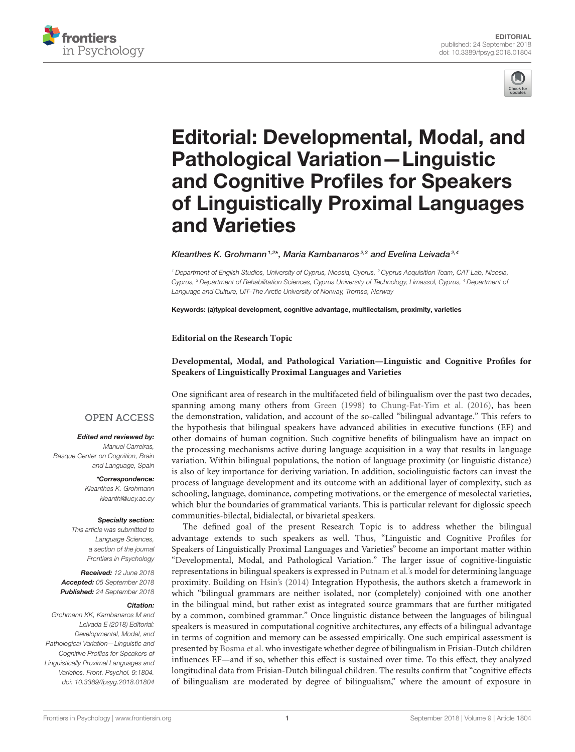



# Editorial: Developmental, Modal, and Pathological Variation—Linguistic and Cognitive Profiles for Speakers [of Linguistically Proximal Languages](https://www.frontiersin.org/articles/10.3389/fpsyg.2018.01804/full) and Varieties

[Kleanthes K. Grohmann](http://loop.frontiersin.org/people/192132/overview)<sup>1,2\*</sup>, [Maria Kambanaros](http://loop.frontiersin.org/people/156863/overview)<sup>2,3</sup> and [Evelina Leivada](http://loop.frontiersin.org/people/174603/overview)<sup>2,4</sup>

<sup>1</sup> Department of English Studies, University of Cyprus, Nicosia, Cyprus, <sup>2</sup> Cyprus Acquisition Team, CAT Lab, Nicosia, Cyprus, <sup>3</sup> Department of Rehabilitation Sciences, Cyprus University of Technology, Limassol, Cyprus, <sup>4</sup> Department of Language and Culture, UiT–The Arctic University of Norway, Tromsø, Norway

Keywords: (a)typical development, cognitive advantage, multilectalism, proximity, varieties

## **Editorial on the Research Topic**

## **[Developmental, Modal, and Pathological Variation—Linguistic and Cognitive Profiles for](https://www.frontiersin.org/research-topics/5240/developmental-modal-and-pathological-variation-linguistic-and-cognitive-profiles-for-speakers-of-lin) Speakers of Linguistically Proximal Languages and Varieties**

**OPEN ACCESS** 

### Edited and reviewed by:

Manuel Carreiras, Basque Center on Cognition, Brain and Language, Spain

> \*Correspondence: Kleanthes K. Grohmann [kleanthi@ucy.ac.cy](mailto:kleanthi@ucy.ac.cy)

#### Specialty section:

This article was submitted to Language Sciences, a section of the journal Frontiers in Psychology

Received: 12 June 2018 Accepted: 05 September 2018 Published: 24 September 2018

#### Citation:

Grohmann KK, Kambanaros M and Leivada E (2018) Editorial: Developmental, Modal, and Pathological Variation—Linguistic and Cognitive Profiles for Speakers of Linguistically Proximal Languages and Varieties. Front. Psychol. 9:1804. doi: [10.3389/fpsyg.2018.01804](https://doi.org/10.3389/fpsyg.2018.01804)

One significant area of research in the multifaceted field of bilingualism over the past two decades, spanning among many others from [Green \(1998\)](#page-2-0) to [Chung-Fat-Yim et al. \(2016\)](#page-2-1), has been the demonstration, validation, and account of the so-called "bilingual advantage." This refers to the hypothesis that bilingual speakers have advanced abilities in executive functions (EF) and other domains of human cognition. Such cognitive benefits of bilingualism have an impact on the processing mechanisms active during language acquisition in a way that results in language variation. Within bilingual populations, the notion of language proximity (or linguistic distance) is also of key importance for deriving variation. In addition, sociolinguistic factors can invest the process of language development and its outcome with an additional layer of complexity, such as schooling, language, dominance, competing motivations, or the emergence of mesolectal varieties, which blur the boundaries of grammatical variants. This is particular relevant for diglossic speech communities-bilectal, bidialectal, or bivarietal speakers.

The defined goal of the present Research Topic is to address whether the bilingual advantage extends to such speakers as well. Thus, "Linguistic and Cognitive Profiles for Speakers of Linguistically Proximal Languages and Varieties" become an important matter within "Developmental, Modal, and Pathological Variation." The larger issue of cognitive-linguistic representations in bilingual speakers is expressed in [Putnam et al.'s](https://doi.org/10.3389/fpsyg.2017.02212) model for determining language proximity. Building on [Hsin's \(2014\)](#page-2-2) Integration Hypothesis, the authors sketch a framework in which "bilingual grammars are neither isolated, nor (completely) conjoined with one another in the bilingual mind, but rather exist as integrated source grammars that are further mitigated by a common, combined grammar." Once linguistic distance between the languages of bilingual speakers is measured in computational cognitive architectures, any effects of a bilingual advantage in terms of cognition and memory can be assessed empirically. One such empirical assessment is presented by [Bosma et al.](https://doi.org/10.3389/fpsyg.2017.01453) who investigate whether degree of bilingualism in Frisian-Dutch children influences EF—and if so, whether this effect is sustained over time. To this effect, they analyzed longitudinal data from Frisian-Dutch bilingual children. The results confirm that "cognitive effects of bilingualism are moderated by degree of bilingualism," where the amount of exposure in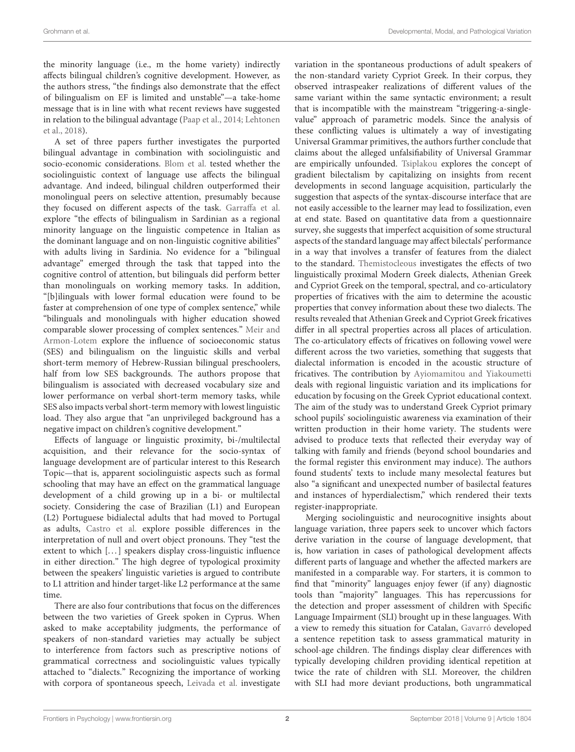the minority language (i.e., m the home variety) indirectly affects bilingual children's cognitive development. However, as the authors stress, "the findings also demonstrate that the effect of bilingualism on EF is limited and unstable"—a take-home message that is in line with what recent reviews have suggested in relation to the bilingual advantage [\(Paap et al., 2014;](#page-2-3) Lehtonen et al., [2018\)](#page-2-4).

A set of three papers further investigates the purported bilingual advantage in combination with sociolinguistic and socio-economic considerations. [Blom et al.](https://doi.org/10.3389/fpsyg.2017.00552) tested whether the sociolinguistic context of language use affects the bilingual advantage. And indeed, bilingual children outperformed their monolingual peers on selective attention, presumably because they focused on different aspects of the task. [Garraffa et al.](https://doi.org/10.3389/fpsyg.2017.01907) explore "the effects of bilingualism in Sardinian as a regional minority language on the linguistic competence in Italian as the dominant language and on non-linguistic cognitive abilities" with adults living in Sardinia. No evidence for a "bilingual advantage" emerged through the task that tapped into the cognitive control of attention, but bilinguals did perform better than monolinguals on working memory tasks. In addition, "[b]ilinguals with lower formal education were found to be faster at comprehension of one type of complex sentence," while "bilinguals and monolinguals with higher education showed [comparable slower processing of complex sentences."](https://doi.org/10.3389/fpsyg.2017.01442) Meir and Armon-Lotem explore the influence of socioeconomic status (SES) and bilingualism on the linguistic skills and verbal short-term memory of Hebrew-Russian bilingual preschoolers, half from low SES backgrounds. The authors propose that bilingualism is associated with decreased vocabulary size and lower performance on verbal short-term memory tasks, while SES also impacts verbal short-term memory with lowest linguistic load. They also argue that "an unprivileged background has a negative impact on children's cognitive development."

Effects of language or linguistic proximity, bi-/multilectal acquisition, and their relevance for the socio-syntax of language development are of particular interest to this Research Topic—that is, apparent sociolinguistic aspects such as formal schooling that may have an effect on the grammatical language development of a child growing up in a bi- or multilectal society. Considering the case of Brazilian (L1) and European (L2) Portuguese bidialectal adults that had moved to Portugal as adults, [Castro et al.](https://doi.org/10.3389/fpsyg.2017.01382) explore possible differences in the interpretation of null and overt object pronouns. They "test the extent to which [...] speakers display cross-linguistic influence in either direction." The high degree of typological proximity between the speakers' linguistic varieties is argued to contribute to L1 attrition and hinder target-like L2 performance at the same time.

There are also four contributions that focus on the differences between the two varieties of Greek spoken in Cyprus. When asked to make acceptability judgments, the performance of speakers of non-standard varieties may actually be subject to interference from factors such as prescriptive notions of grammatical correctness and sociolinguistic values typically attached to "dialects." Recognizing the importance of working with corpora of spontaneous speech, [Leivada et al.](https://doi.org/10.3389/fpsyg.2017.01260) investigate variation in the spontaneous productions of adult speakers of the non-standard variety Cypriot Greek. In their corpus, they observed intraspeaker realizations of different values of the same variant within the same syntactic environment; a result that is incompatible with the mainstream "triggering-a-singlevalue" approach of parametric models. Since the analysis of these conflicting values is ultimately a way of investigating Universal Grammar primitives, the authors further conclude that claims about the alleged unfalsifiability of Universal Grammar are empirically unfounded. [Tsiplakou](https://doi.org/10.3389/fcomm.2017.00017) explores the concept of gradient bilectalism by capitalizing on insights from recent developments in second language acquisition, particularly the suggestion that aspects of the syntax-discourse interface that are not easily accessible to the learner may lead to fossilization, even at end state. Based on quantitative data from a questionnaire survey, she suggests that imperfect acquisition of some structural aspects of the standard language may affect bilectals' performance in a way that involves a transfer of features from the dialect to the standard. [Themistocleous](https://doi.org/10.3389/fpsyg.2017.01945) investigates the effects of two linguistically proximal Modern Greek dialects, Athenian Greek and Cypriot Greek on the temporal, spectral, and co-articulatory properties of fricatives with the aim to determine the acoustic properties that convey information about these two dialects. The results revealed that Athenian Greek and Cypriot Greek fricatives differ in all spectral properties across all places of articulation. The co-articulatory effects of fricatives on following vowel were different across the two varieties, something that suggests that dialectal information is encoded in the acoustic structure of fricatives. The contribution by [Ayiomamitou and Yiakoumetti](https://doi.org/10.3389/fpsyg.2017.02017) deals with regional linguistic variation and its implications for education by focusing on the Greek Cypriot educational context. The aim of the study was to understand Greek Cypriot primary school pupils' sociolinguistic awareness via examination of their written production in their home variety. The students were advised to produce texts that reflected their everyday way of talking with family and friends (beyond school boundaries and the formal register this environment may induce). The authors found students' texts to include many mesolectal features but also "a significant and unexpected number of basilectal features and instances of hyperdialectism," which rendered their texts register-inappropriate.

Merging sociolinguistic and neurocognitive insights about language variation, three papers seek to uncover which factors derive variation in the course of language development, that is, how variation in cases of pathological development affects different parts of language and whether the affected markers are manifested in a comparable way. For starters, it is common to find that "minority" languages enjoy fewer (if any) diagnostic tools than "majority" languages. This has repercussions for the detection and proper assessment of children with Specific Language Impairment (SLI) brought up in these languages. With a view to remedy this situation for Catalan, [Gavarró](https://doi.org/10.3389/fpsyg.2017.01865) developed a sentence repetition task to assess grammatical maturity in school-age children. The findings display clear differences with typically developing children providing identical repetition at twice the rate of children with SLI. Moreover, the children with SLI had more deviant productions, both ungrammatical